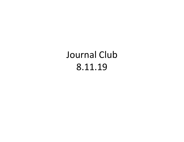# Journal Club 8.11.19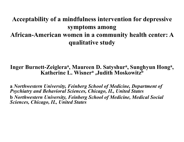# Acceptability of a mindfulness intervention for depressive symptoms among African-American women in a community health center: A qualitative study Acceptability of a mindfulness int<br>symptoms am<br>African-American women in a con<br>qualitative st<br>dialitative st<br>Inger Burnett-Zeiglera<sup>a</sup>, Maureen D. S<br>Katherine L. Wisner<sup>a</sup> ,Jud on for depressive<br>
rhealth center: A<br>
, Sunghyun Hong<sup>a</sup>,<br>
sowitz<sup>b</sup> symptoms among<br>African-American women in a community health center: A<br>qualitative study<br>Inger Burnett-Zeigleraª, Maureen D. Satyshurª, Sunghyun Hongª,<br>Katherine L. Wisnerª ,Judith Moskowitz<sup>b</sup><br>a Northwestern University, Fe

#### Inger Burnett-Zeiglera<sup>a</sup>, Maureen D. Satyshur<sup>a</sup>, Sunghyun Hong<sup>a</sup>,  $, \, \,$ Katherine L. Wisner<sup>a</sup> , Judith Moskowitz<sup>b</sup>

African-American women in a community health center: A<br>qualitative study<br>Inger Burnett-Zeiglera<sup>a</sup>, Maureen D. Satyshur<sup>a</sup>, Sunghyun Hong<sup>.</sup><br>Katherine L. Wisner<sup>a</sup> ,Judith Moskowitz<sup>b</sup><br>a Northwestern University, Feinberg S qualitative study<br>
Inger Burnett-Zeiglera<sup>a</sup>, Maureen D. Satyshur<sup>a</sup>, Sunghyun Hong<sup>a</sup>,<br>
Katherine L. Wisner<sup>a</sup> ,Judith Moskowitz<sup>b</sup><br>
a Northwestern University, Feinberg School of Medicine, Department of<br>
Bychiatry and Beh Sciences, Chicago, IL, United States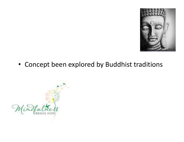

• Concept been explored by Buddhist traditions

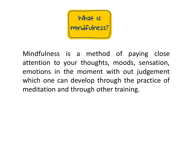

Mindfulness is a method of paying close<br>
attention to your thoughts, moods, sensation,<br>
emotions in the moment with out judgement What is<br>
mindfulness is a method of paying close<br>
attention to your thoughts, moods, sensation,<br>
emotions in the moment with out judgement<br>
which one can develop through the practice of What is<br>
Mindfulness is a method of paying close<br>
attention to your thoughts, moods, sensation,<br>
emotions in the moment with out judgement<br>
which one can develop through the practice of<br>
meditation and through other traini Windfulness is a method of paying close<br>attention to your thoughts, moods, sensation,<br>emotions in the moment with out judgement<br>which one can develop through the practice of<br>meditation and through other training. Mindfulness is a method of paying close<br>attention to your thoughts, moods, sensation,<br>emotions in the moment with out judgement<br>which one can develop through the practice of<br>meditation and through other training.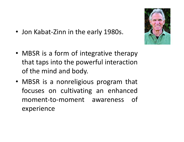- Jon Kabat-Zinn in the early 1980s.
- Jon Kabat-Zinn in the early 1980s.<br>• MBSR is a form of integrative therapy<br>that taps into the powerful interaction<br>of the mind and body Jon Kabat-Zinn in the early 1980s.<br>
MBSR is a form of integrative therapy<br>
that taps into the powerful interaction<br>
of the mind and body. Jon Kabat-Zinn in the early 1980s.<br>
MBSR is a form of integrative therapy<br>
that taps into the powerful interaction<br>
of the mind and body.<br>
MBSR is a nonreligious program that • Jon Kabat-Zinn in the early 1980s.<br>
• MBSR is a form of integrative therapy<br>
that taps into the powerful interaction<br>
of the mind and body.<br>
• MBSR is a nonreligious program that<br>
focuses on cultivating an enhanced<br>
mome
- MBSR is a form of integrative therapy<br>that taps into the powerful interaction<br>of the mind and body.<br>MBSR is a nonreligious program that<br>focuses on cultivating an enhanced<br>moment-to-moment awareness of<br>experience MBSR is a form of integrative therapy<br>that taps into the powerful interaction<br>of the mind and body.<br>MBSR is a nonreligious program that<br>focuses on cultivating an enhanced<br>moment-to-moment awareness of<br>experience experience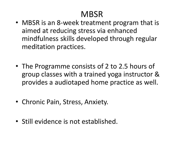### **MBSR**

- MBSR is an 8-week treatment program that is aimed at reducing stress via enhanced mindfulness skills developed through regular meditation practices.
- The Programme consists of 2 to 2.5 hours of group classes with a trained yoga instructor & provides a audiotaped home practice as well.
- Chronic Pain, Stress, Anxiety.
- Still evidence is not established.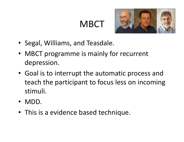# **MBCT**



- Segal, Williams, and Teasdale.
- MBCT programme is mainly for recurrent depression.
- Goal is to interrupt the automatic process and teach the participant to focus less on incoming stimuli.
- MDD.
- This is a evidence based technique.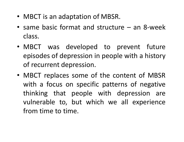- 
- MBCT is an adaptation of MBSR.<br>• same basic format and structure an 8-week • MBCT is an adaptation of MBSR.<br>• same basic format and structure – an 8-week<br>class. class.
- MBCT is an adaptation of MBSR.<br>
 same basic format and structure an 8-week<br>
class.<br>
 MBCT was developed to prevent future<br>
episodes of depression in people with a history<br>
of recurrent depression MBCT is an adaptation of MBSR.<br>
same basic format and structure – an 8-week<br>
class.<br>
MBCT was developed to prevent future<br>
episodes of depression in people with a history<br>
of recurrent depression. MBCT is an adaptation of MBSR.<br>
same basic format and structure – a<br>
class.<br>
MBCT was developed to preven<br>
episodes of depression in people with<br>
of recurrent depression.<br>
MBCT replaces some of the content<br>
with a facus an • same basic format and structure – an 8-week<br>class.<br>• MBCT was developed to prevent future<br>episodes of depression in people with a history<br>of recurrent depression.<br>• MBCT replaces some of the content of MBSR<br>with a focus
- same basic format and structure an o-week<br>class.<br>MBCT was developed to prevent future<br>episodes of depression in people with a history<br>of recurrent depression.<br>MBCT replaces some of the content of MBSR<br>with a focus on spe Class.<br>
MBCT was developed to prevent future<br>
episodes of depression in people with a history<br>
of recurrent depression.<br>
MBCT replaces some of the content of MBSR<br>
with a focus on specific patterns of negative<br>
thinking th MBCI was developed to prevent future<br>episodes of depression in people with a history<br>of recurrent depression.<br>MBCT replaces some of the content of MBSR<br>with a focus on specific patterns of negative<br>thinking that people wit episodes of depression in people with<br>of recurrent depression.<br>MBCT replaces some of the content<br>with a focus on specific patterns of<br>thinking that people with depress<br>vulnerable to, but which we all ex<br>from time to time.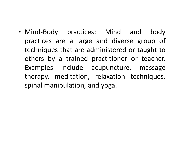• Mind-Body practices: Mind and body<br>practices are a large and diverse group of<br>techniques that are administered or taught to Mind-Body practices: Mind and body<br>practices are a large and diverse group of<br>techniques that are administered or taught to<br>others by a trained practitioner or teacher Mind-Body practices: Mind and body<br>practices are a large and diverse group of<br>techniques that are administered or taught to<br>others by a trained practitioner or teacher.<br>Examples include acupuncture massage Mind-Body practices: Mind and body<br>practices are a large and diverse group of<br>techniques that are administered or taught to<br>others by a trained practitioner or teacher.<br>Examples include acupuncture, massage<br>therany meditat Mind-Body practices: Mind and body<br>practices are a large and diverse group of<br>techniques that are administered or taught to<br>others by a trained practitioner or teacher.<br>Examples include acupuncture, massage<br>therapy, medita Mind-Body practices: Mind and body<br>practices are a large and diverse group of<br>techniques that are administered or taught to<br>others by a trained practitioner or teacher.<br>Examples include acupuncture, massage<br>therapy, medita Mind-Body practices: Mind and body<br>practices are a large and diverse group of<br>techniques that are administered or taught to<br>others by a trained practitioner or teacher.<br>Examples include acupuncture, massage<br>therapy, medita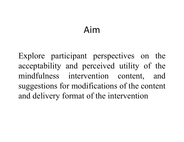## Aim

Aim<br>Explore participant perspectives on the<br>acceptability and perceived utility of the Aim<br>Explore participant perspectives on the<br>acceptability and perceived utility of the<br>mindfulness intervention content, and Aim<br>Explore participant perspectives on the<br>acceptability and perceived utility of the<br>mindfulness intervention content, and<br>suggestions for modifications of the content Aim<br>Explore participant perspectives on the<br>acceptability and perceived utility of the<br>mindfulness intervention content, and<br>suggestions for modifications of the content<br>and delivery format of the intervention Explore participant perspectives on the<br>acceptability and perceived utility of the<br>mindfulness intervention content, and<br>suggestions for modifications of the content<br>and delivery format of the intervention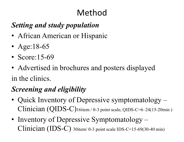# Method

#### Setting and study population

- African American or Hispanic
- Age:18-65
- Score: 15-69
- Advertised in brochures and posters displayed in the clinics.

### Screening and eligibility

- Quick Inventory of Depressive symptomatology Clinician (QIDS-C)16item / 0-3 point scale, QIDS-C=6–24(15-20min )
- Inventory of Depressive Symptomatology Clinician (IDS-C) 30item/ 0-3 point scale IDS-C=15-69(30-40 min)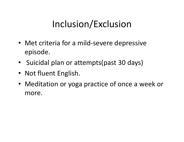# Inclusion/Exclusion

- Met criteria for a mild-severe depressive episode.
- Suicidal plan or attempts(past 30 days)
- Not fluent English.
- Meditation or yoga practice of once a week or more.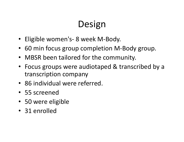# Design

- 
- **Design<br>• Eligible women's- 8 week M-Body.<br>• 60 min focus group completion M-Body group.** • 60 min focus group completion M-Body group.
- MBSR been tailored for the community.
- Focus groups were audiotaped & transcribed by a transcription company
- 86 individual were referred.
- 55 screened
- 50 were eligible
- 31 enrolled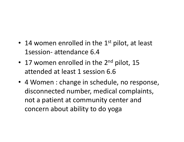- 14 women enrolled in the  $1<sup>st</sup>$  pilot, at least 14 women enrolled in the 1st pilot, a<br>1session- attendance 6.4<br>17 women enrolled in the 2<sup>nd</sup> pilot, 1
- 17 women enrolled in the  $2^{nd}$  pilot, 15 attended at least 1 session 6.6
- 4 Women : change in schedule, no response, disconnected number, medical complaints, 14 women emoled in the 1<sup>3</sup> phot, at least<br>1session- attendance 6.4<br>17 women enrolled in the 2<sup>nd</sup> pilot, 15<br>attended at least 1 session 6.6<br>4 Women : change in schedule, no response,<br>disconnected number, medical complaint concern about ability to do yoga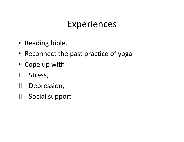# Experiences

- Reading bible.
- Reconnect the past practice of yoga Experieno<br>
• Reading bible.<br>
• Reconnect the past practic<br>
• Cope up with<br>
I. Stress,<br>
II. Depression, • Reading bible.<br>• Reconnect the past practic<br>• Cope up with<br>I. Stress,<br>II. Depression,<br>III. Social support • Reading bible.<br>• Reconnect the past practic<br>• Cope up with<br>I. Stress,<br>II. Depression,<br>III. Social support
- Cope up with
- 
- 
-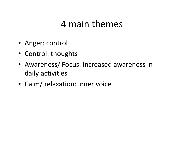## 4 main themes

- Anger: control
- Control: thoughts
- Awareness/ Focus: increased awareness in daily activities
- Calm/ relaxation: inner voice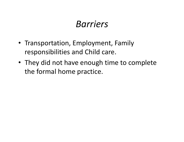### Barriers

- Transportation, Employment, Family responsibilities and Child care.
- They did not have enough time to complete the formal home practice.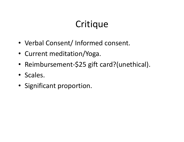# Critique

- Verbal Consent/ Informed consent.
- Current meditation/Yoga.
- Reimbursement-\$25 gift card?(unethical).
- Scales.
- Significant proportion.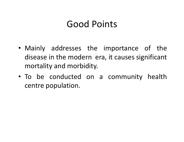### Good Points

- **Good Points<br>• Mainly addresses the importance of the<br>disease in the modern era, it causes significant<br>mortality and morbidity** Good Points<br>Mainly addresses the importance of the<br>disease in the modern era, it causes significant<br>mortality and morbidity. **Good Points<br>
Mainly addresses the importance<br>
disease in the modern era, it causes sig<br>
mortality and morbidity.<br>
To be conducted on a community** • Mainly addresses the importance of the<br>disease in the modern era, it causes significant<br>mortality and morbidity.<br>• To be conducted on a community health<br>centre population. Mainly addresses the impor<br>disease in the modern era, it ca<br>mortality and morbidity.<br>To be conducted on a com<br>centre population.
-